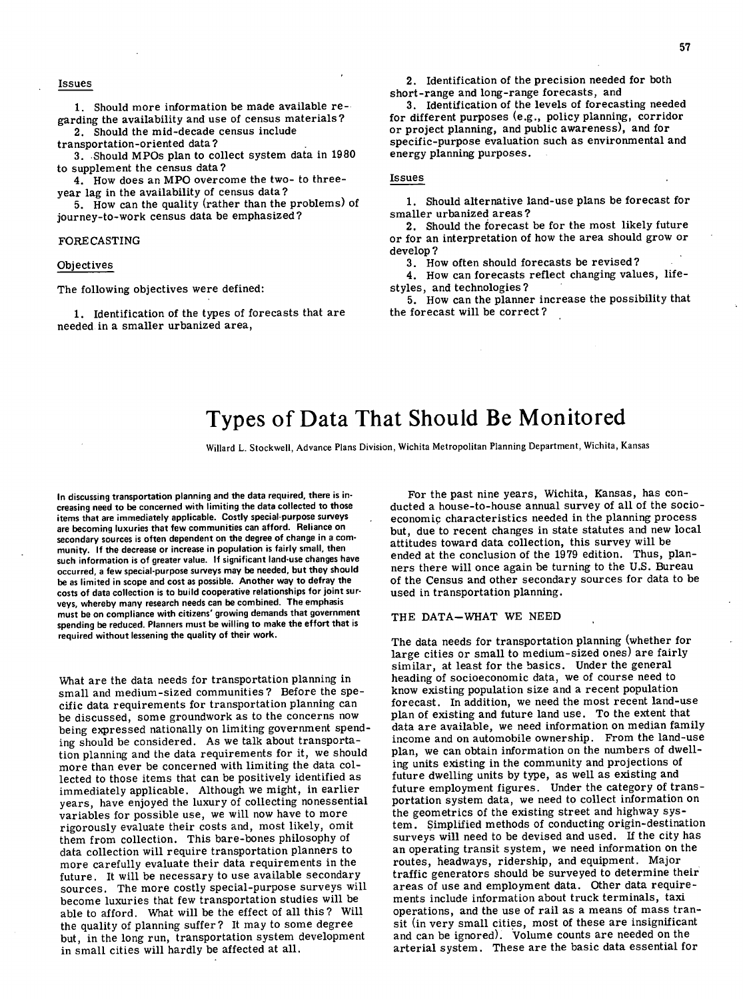## Issues

Should more information be made available regarding the availability and use of census materials?

Should the mid-decade census include transportation -or iented data?

Should MPOs plan to collect system data in 1980 to supplement the census data?

How does an MPO overcome the two- to threeyear lag in the availability of census data?

5. How can the quality (rather than the problems) of journey-to-work census data be emphasized?

### FORECASTING

#### Objectives

The following objectives were defined:

1. Identification of the types of forecasts that are needed in a smaller urbanized area,

2. Identification of the precision needed for both short-range and long-range forecasts, and

3. Identification of the levels of forecasting needed for different purposes (e.g., policy planning, corridor or project planning, and public awareness), and for specific-purpose evaluation such as environmental and energy planning purposes.

### Issues

1. Should alternative land-use plans be forecast for smaller urbanized areas?

2. Should the forecast be for the most likely future or for an interpretation of how the area should grow or develop?

3. How often should forecasts be revised?

4. How can forecasts reflect changing values, lifestyles, and technologies?

5. How can the planner increase the possibility that the forecast will be correct?

# Types of Data That Should Be Monitored

Willard L. Stockwell, Advance Plans Division, Wichita Metropolitan Planning Department, Wichita, Kansas

In discussing **transportation** planning and the data required, there is increasing need to be concerned with limiting the data collected to those items that are immediately applicable. Costly special-purpose **surveys**  are becoming luxuries that few communities can afford. Reliance on secondary sources is often dependent on the degree of change in a community. If the decrease or increase in population is fairly small, then such information is of greater value. If significant land-use changes have occurred, a few special-purpose surveys may be needed, but they should be as limited in scope and cost as possible. Another way to defray the costs of data collection is to build cooperative relationships for joint surveys, whereby many research needs can be combined. The emphasis must be on compliance with citizens' growing demands that government spending be reduced. Planners must be willing to make the effort that is required without lessening the quality of their work.

What are the data needs for transportation planning in small and medium-sized communities? Before the specific data requirements for transportation planning can be discussed, some groundwork as to the concerns now being expressed nationally on limiting government spending should be considered. As we talk about transportation planning and the data requirements for it, we should more than ever be concerned with limiting the data collected to those items that can be positively identified as immediately applicable. Although we might, in earlier years, have enjoyed the luxury of collecting nonessential variables for possible use, we will now have to more rigorously evaluate their costs and, most likely, omit them from collection. This bare-bones philosophy of data collection will require transportation planners to more carefully evaluate their data requirements in the future. It will be necessary to use available secondary sources. The more costly special-purpose surveys will become luxuries that few transportation studies will be able to afford. What will be the effect of all this? Will the quality of planning suffer? It may to some degree but, in the long run, transportation system development in small cities will hardly be affected at all.

For the past nine years, Wichita, Kansas, has conducted a house-to-house annual survey of all of the socioeconomic characteristics needed in the planning process but, due to recent changes in state statutes and new local attitudes toward data collection, this survey will be ended at the conclusion of the 1979 edition. Thus, planners there will once again be turning to the U.S. Bureau of the Census and other secondary sources for data to be used in transportation planning.

### THE DATA—WHAT WE NEED

The data needs for transportation planning (whether for large cities or small to medium-sized ones) are fairly similar, at least for the basics. Under the general heading of socioeconomic data, we of course need to know existing population size and a recent population forecast. In addition, we need the most recent land-use plan of existing and future land use. To the extent that data are available, we need information on median family income and on automobile ownership. From the land-use plan, we can obtain information on the numbers of dwelling units existing in the community and projections of future dwelling units by type, as well as existing and future employment figures. Under the category of transportation system data, we need to collect information on the geometrics of the existing street and highway system. Simplified methods of conducting origin-destination surveys will need to be devised and used. If the city has an operating transit system, we need information on the routes, headways, ridership, and equipment. Major traffic generators should be surveyed to determine their areas of use and employment data. Other data requirements include information about truck terminals, taxi operations, and the use of rail as a means of mass transit (in very small cities, most of these are insignificant and can be ignored). Volume counts are needed on the arterial system. These are the basic data essential for